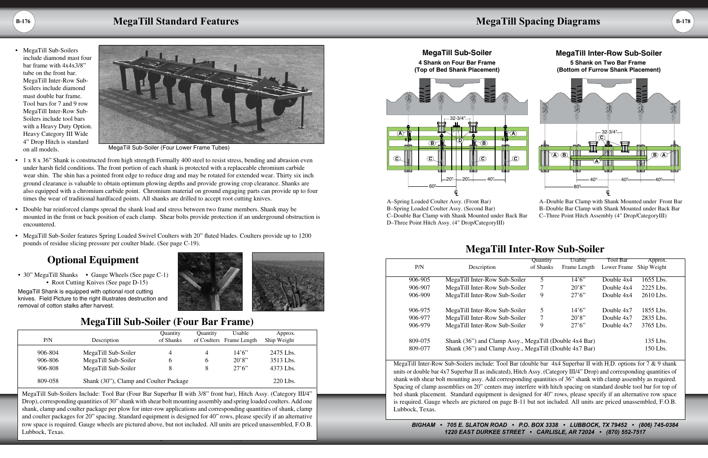### **MegaTill Inter-Row Sub-Soiler**

| P/N     | Description                                            | Quantity<br>of Shanks | <b>Usable</b><br>Frame Length | Tool Bar<br>Lower Frame | Approx.<br>Ship Weight |
|---------|--------------------------------------------------------|-----------------------|-------------------------------|-------------------------|------------------------|
| 906-905 | MegaTill Inter-Row Sub-Soiler                          | 5                     | 14'6''                        | Double 4x4              | 1655 Lbs.              |
| 906-907 | MegaTill Inter-Row Sub-Soiler                          |                       | 20'8''                        | Double 4x4              | 2225 Lbs.              |
| 906-909 | MegaTill Inter-Row Sub-Soiler                          | 9                     | 27'6''                        | Double 4x4              | 2610 Lbs.              |
| 906-975 | MegaTill Inter-Row Sub-Soiler                          | 5                     | 14'6''                        | Double $4x7$            | 1855 Lbs.              |
| 906-977 | MegaTill Inter-Row Sub-Soiler                          |                       | 20'8''                        | Double $4x7$            | 2835 Lbs.              |
| 906-979 | MegaTill Inter-Row Sub-Soiler                          | 9                     | 27'6''                        | Double 4x7              | 3765 Lbs.              |
| 809-075 | Shank (36") and Clamp Assy., MegaTill (Double 4x4 Bar) |                       |                               |                         | 135 Lbs.               |
| 809-077 | Shank (36") and Clamp Assy., MegaTill (Double 4x7 Bar) |                       |                               |                         | 150 Lbs.               |
|         |                                                        |                       |                               |                         |                        |

• MegaTill Sub-Soilers include diamond mast four bar frame with 4x4x3/8" tube on the front bar. MegaTill Inter-Row Sub-Soilers include diamond mast double bar frame. Tool bars for 7 and 9 row MegaTill Inter-Row Sub-Soilers include tool bars with a Heavy Duty Option. Heavy Category III Wide 4" Drop Hitch is standard on all models.

> MegaTill Inter-Row Sub-Soilers include: Tool Bar (double bar 4x4 Superbar II with H.D. options for 7 & 9 shank units or double bar 4x7 Superbar II as indicated), Hitch Assy. (Category III/4" Drop) and corresponding quantities of shank with shear bolt mounting assy. Add corresponding quantities of 36" shank with clamp assembly as required. Spacing of clamp assemblies on 20" centers may interfere with hitch spacing on standard double tool bar for top of bed shank placement. Standard equipment is designed for 40" rows, please specify if an alternative row space is required. Gauge wheels are pictured on page B-11 but not included. All units are priced unassembled, F.O.B. Lubbock, Texas.



- 1 x 8 x 36" Shank is constructed from high strength Formally 400 steel to resist stress, bending and abrasion even under harsh field conditions. The front portion of each shank is protected with a replaceable chromium carbide wear shin. The shin has a pointed front edge to reduce drag and may be rotated for extended wear. Thirty six inch ground clearance is valuable to obtain optimum plowing depths and provide growing crop clearance. Shanks are also equipped with a chromium carbide point. Chromium material on ground engaging parts can provide up to four times the wear of traditional hardfaced points. All shanks are drilled to accept root cutting knives.
- • Double bar reinforced clamps spread the shank load and stress between two frame members. Shank may be mounted in the front or back position of each clamp. Shear bolts provide protection if an underground obstruction is encountered.
- MegaTill Sub-Soiler features Spring Loaded Swivel Coulters with 20" fluted blades. Coulters provide up to 1200 pounds of residue slicing pressure per coulter blade. (See page C-19).

*Additional Configurations Available on Request* MegaTill Sub-Soilers Include: Tool Bar (Four Bar Superbar II with 3/8" front bar), Hitch Assy. (Category III/4" Drop), corresponding quantities of 30" shank with shear bolt mounting assembly and spring loaded coulters. Add one shank, clamp and coulter package per plow for inter-row applications and corresponding quantities of shank, clamp and coulter packages for 20" spacing. Standard equipment is designed for 40" rows, please specify if an alternative row space is required. Gauge wheels are pictured above, but not included. All units are priced unassembled, F.O.B. Lubbock, Texas.

### **Optional Equipment**

• 30" MegaTill Shanks • Gauge Wheels (See page C-1) • Root Cutting Knives (See page D-15)

#### **MegaTill Sub-Soiler (Four Bar Frame)**

| P/N     | Description                            | Quantity<br>of Shanks | <b>Ouantity</b> | Usable<br>of Coulters Frame Length | Approx.<br>Ship Weight |  |
|---------|----------------------------------------|-----------------------|-----------------|------------------------------------|------------------------|--|
| 906-804 | MegaTill Sub-Soiler                    | 4                     | 4               | 14'6''                             | 2475 Lbs.              |  |
| 906-806 | MegaTill Sub-Soiler                    | <sub>0</sub>          | <sub>0</sub>    | 20'8''                             | 3513 Lbs.              |  |
| 906-808 | MegaTill Sub-Soiler                    | 8                     |                 | 27'6''                             | 4373 Lbs.              |  |
| 809-058 | Shank (30"), Clamp and Coulter Package |                       |                 |                                    | 220 Lbs.               |  |

MegaTill Shank is equipped with optional root cutting knives. Field Picture to the right illustrates destruction and removal of cotton stalks after harvest.





**MegaTill Sub-Soiler**

**4 Shank on Four Bar Frame (Top of Bed Shank Placement)**

A–Spring Loaded Coulter Assy. (Front Bar) B–Spring Loaded Coulter Assy. (Second Bar) C–Double Bar Clamp with Shank Mounted under Back Bar D–Three Point Hitch Assy. (4" Drop/CategoryIII)

# **B A** 40" 40" 40" **CL CL**  $80'$ **MegaTill Inter-Row Sub-Soiler 5 Shank on Two Bar Frame (Bottom of Furrow Shank Placement)** 32-3/4" **A C**



A–Double Bar Clamp with Shank Mounted under Front Bar B–Double Bar Clamp with Shank Mounted under Back Bar C–Three Point Hitch Assembly (4" Drop/CategoryIII)



MegaTill Sub-Soiler (Four Lower Frame Tubes)

#### **B-176 MegaTill Standard Features B-178 MegaTill Spacing Diagrams B-178**

*BIGHAM • 705 E. SLATON ROAD • P.O. BOX 3338 • LUBBOCK, TX 79452 • (806) 745-0384 1220 EAST DURKEE STREET • CARLISLE, AR 72024 • (870) 552-7517*